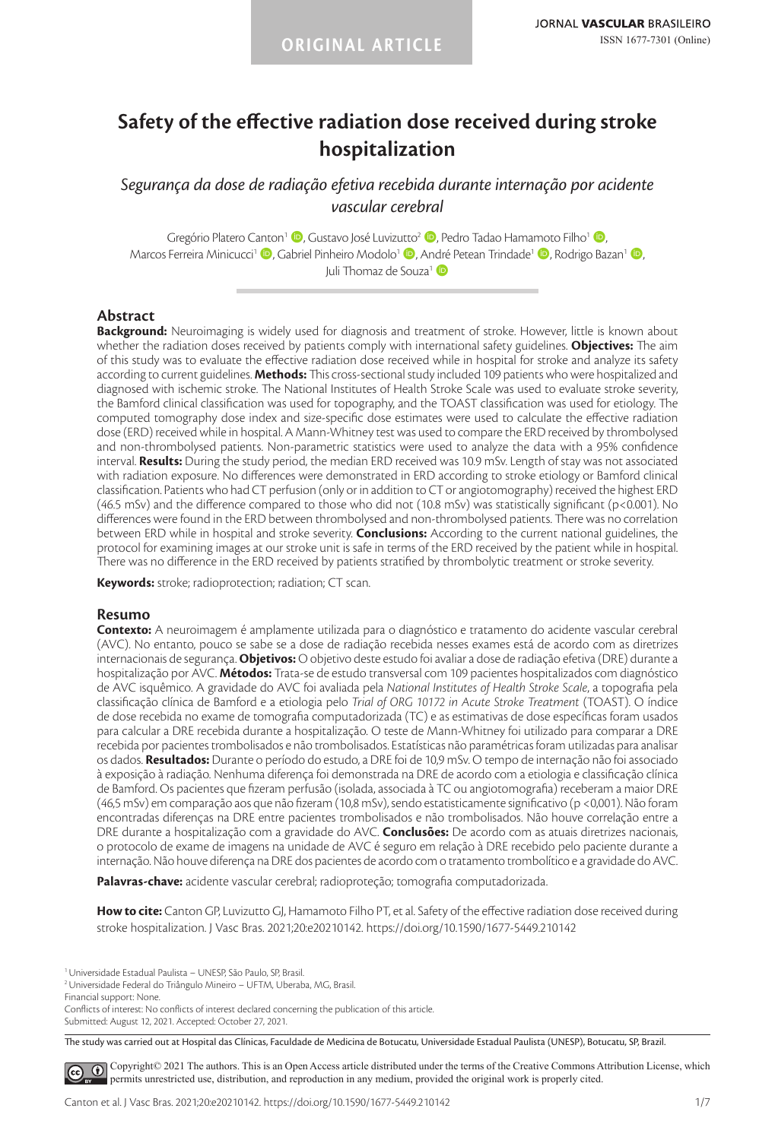# **Safety of the effective radiation dose received during stroke hospitalization**

*Segurança da dose de radiação efetiva recebida durante internação por acidente vascular cerebral*

Gregório Platero Canton<sup>1</sup> (D. Gustavo José Luvizutto<sup>2</sup> (D. Pedro Tadao Hamamoto Filho<sup>1</sup> (D. Marcos Ferreira Minicucci<sup>1</sup> (D, Gabriel Pinheiro Modolo<sup>1</sup> (D, André Petean Trindade<sup>1</sup> (D, Rodrigo Bazan<sup>1</sup> (D, Juli Thomaz de Souza1

### **Abstract**

**Background:** Neuroimaging is widely used for diagnosis and treatment of stroke. However, little is known about whether the radiation doses received by patients comply with international safety guidelines. **Objectives:** The aim of this study was to evaluate the effective radiation dose received while in hospital for stroke and analyze its safety according to current guidelines. **Methods:** This cross-sectional study included 109 patients who were hospitalized and diagnosed with ischemic stroke. The National Institutes of Health Stroke Scale was used to evaluate stroke severity, the Bamford clinical classification was used for topography, and the TOAST classification was used for etiology. The computed tomography dose index and size-specific dose estimates were used to calculate the effective radiation dose (ERD) received while in hospital. A Mann-Whitney test was used to compare the ERD received by thrombolysed and non-thrombolysed patients. Non-parametric statistics were used to analyze the data with a 95% confidence interval. **Results:** During the study period, the median ERD received was 10.9 mSv. Length of stay was not associated with radiation exposure. No differences were demonstrated in ERD according to stroke etiology or Bamford clinical classification. Patients who had CT perfusion (only or in addition to CT or angiotomography) received the highest ERD (46.5 mSv) and the difference compared to those who did not (10.8 mSv) was statistically significant (p<0.001). No differences were found in the ERD between thrombolysed and non-thrombolysed patients. There was no correlation between ERD while in hospital and stroke severity. **Conclusions:** According to the current national guidelines, the protocol for examining images at our stroke unit is safe in terms of the ERD received by the patient while in hospital. There was no difference in the ERD received by patients stratified by thrombolytic treatment or stroke severity.

**Keywords:** stroke; radioprotection; radiation; CT scan.

#### **Resumo**

**Contexto:** A neuroimagem é amplamente utilizada para o diagnóstico e tratamento do acidente vascular cerebral (AVC). No entanto, pouco se sabe se a dose de radiação recebida nesses exames está de acordo com as diretrizes internacionais de segurança. **Objetivos:** O objetivo deste estudo foi avaliar a dose de radiação efetiva (DRE) durante a hospitalização por AVC. **Métodos:** Trata-se de estudo transversal com 109 pacientes hospitalizados com diagnóstico de AVC isquêmico. A gravidade do AVC foi avaliada pela *National Institutes of Health Stroke Scale*, a topografia pela classificação clínica de Bamford e a etiologia pelo *Trial of ORG 10172 in Acute Stroke Treatment* (TOAST). O índice de dose recebida no exame de tomografia computadorizada (TC) e as estimativas de dose específicas foram usados para calcular a DRE recebida durante a hospitalização. O teste de Mann-Whitney foi utilizado para comparar a DRE recebida por pacientes trombolisados e não trombolisados. Estatísticas não paramétricas foram utilizadas para analisar os dados. **Resultados:** Durante o período do estudo, a DRE foi de 10,9 mSv. O tempo de internação não foi associado à exposição à radiação. Nenhuma diferença foi demonstrada na DRE de acordo com a etiologia e classificação clínica de Bamford. Os pacientes que fizeram perfusão (isolada, associada à TC ou angiotomografia) receberam a maior DRE (46,5 mSv) em comparação aos que não fizeram (10,8 mSv), sendo estatisticamente significativo (p <0,001). Não foram encontradas diferenças na DRE entre pacientes trombolisados e não trombolisados. Não houve correlação entre a DRE durante a hospitalização com a gravidade do AVC. **Conclusões:** De acordo com as atuais diretrizes nacionais, o protocolo de exame de imagens na unidade de AVC é seguro em relação à DRE recebido pelo paciente durante a internação. Não houve diferença na DRE dos pacientes de acordo com o tratamento trombolítico e a gravidade do AVC.

**Palavras-chave:** acidente vascular cerebral; radioproteção; tomografia computadorizada.

**How to cite:** Canton GP, Luvizutto GJ, Hamamoto Filho PT, et al. Safety of the effective radiation dose received during stroke hospitalization. J Vasc Bras. 2021;20:e20210142. https://doi.org/10.1590/1677-5449.210142

1Universidade Estadual Paulista – UNESP, São Paulo, SP, Brasil.

2Universidade Federal do Triângulo Mineiro – UFTM, Uberaba, MG, Brasil.

Financial support: None.

Conflicts of interest: No conflicts of interest declared concerning the publication of this article.

Submitted: August 12, 2021. Accepted: October 27, 2021.

The study was carried out at Hospital das Clínicas, Faculdade de Medicina de Botucatu, Universidade Estadual Paulista (UNESP), Botucatu, SP, Brazil.

[C](https://creativecommons.org/licenses/by/4.0/)opyright© 2021 The authors. This is an Open Access article distributed under the terms of the Creative Commons Attribution License, which  $\left( \widehat{cc} \right)$ permits unrestricted use, distribution, and reproduction in any medium, provided the original work is properly cited.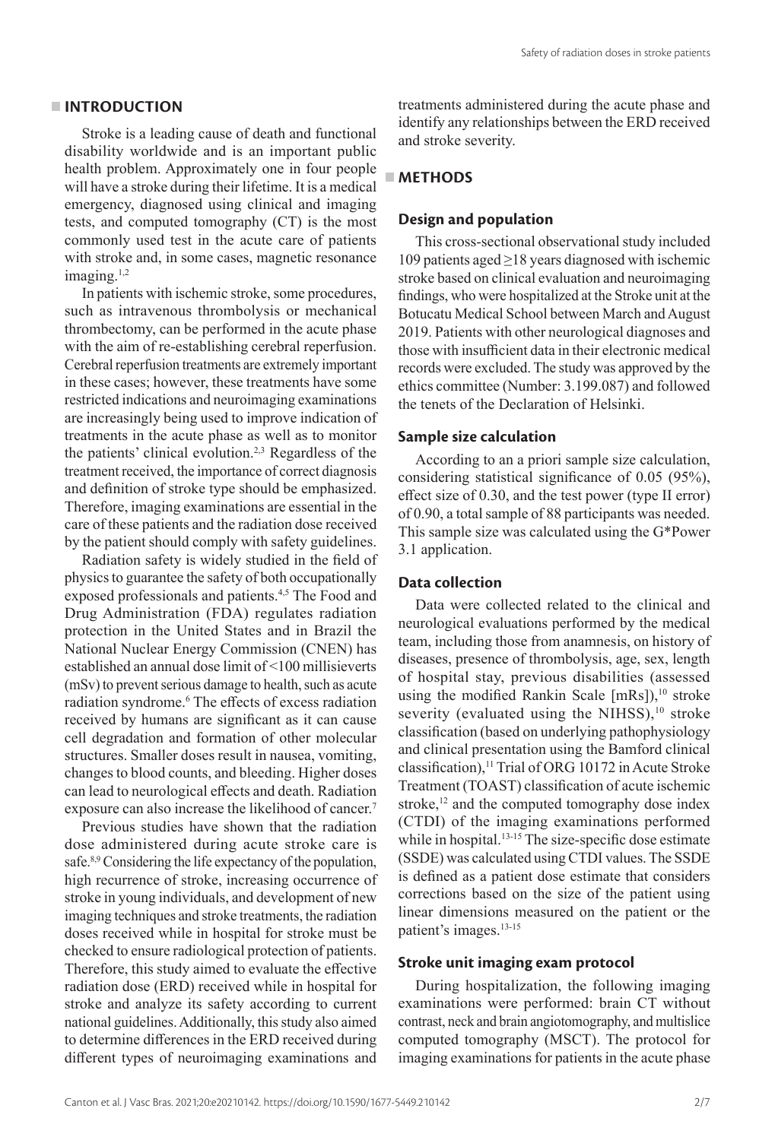### **INTRODUCTION**

Stroke is a leading cause of death and functional disability worldwide and is an important public health problem. Approximately one in four people will have a stroke during their lifetime. It is a medical emergency, diagnosed using clinical and imaging tests, and computed tomography (CT) is the most commonly used test in the acute care of patients with stroke and, in some cases, magnetic resonance imaging. $1,2$ 

In patients with ischemic stroke, some procedures, such as intravenous thrombolysis or mechanical thrombectomy, can be performed in the acute phase with the aim of re-establishing cerebral reperfusion. Cerebral reperfusion treatments are extremely important in these cases; however, these treatments have some restricted indications and neuroimaging examinations are increasingly being used to improve indication of treatments in the acute phase as well as to monitor the patients' clinical evolution.2,3 Regardless of the treatment received, the importance of correct diagnosis and definition of stroke type should be emphasized. Therefore, imaging examinations are essential in the care of these patients and the radiation dose received by the patient should comply with safety guidelines.

Radiation safety is widely studied in the field of physics to guarantee the safety of both occupationally exposed professionals and patients.<sup>4,5</sup> The Food and Drug Administration (FDA) regulates radiation protection in the United States and in Brazil the National Nuclear Energy Commission (CNEN) has established an annual dose limit of <100 millisieverts (mSv) to prevent serious damage to health, such as acute radiation syndrome.6 The effects of excess radiation received by humans are significant as it can cause cell degradation and formation of other molecular structures. Smaller doses result in nausea, vomiting, changes to blood counts, and bleeding. Higher doses can lead to neurological effects and death. Radiation exposure can also increase the likelihood of cancer.7

Previous studies have shown that the radiation dose administered during acute stroke care is safe.<sup>8,9</sup> Considering the life expectancy of the population, high recurrence of stroke, increasing occurrence of stroke in young individuals, and development of new imaging techniques and stroke treatments, the radiation doses received while in hospital for stroke must be checked to ensure radiological protection of patients. Therefore, this study aimed to evaluate the effective radiation dose (ERD) received while in hospital for stroke and analyze its safety according to current national guidelines. Additionally, this study also aimed to determine differences in the ERD received during different types of neuroimaging examinations and

treatments administered during the acute phase and identify any relationships between the ERD received and stroke severity.

## **METHODS**

### **Design and population**

This cross-sectional observational study included 109 patients aged ≥18 years diagnosed with ischemic stroke based on clinical evaluation and neuroimaging findings, who were hospitalized at the Stroke unit at the Botucatu Medical School between March and August 2019. Patients with other neurological diagnoses and those with insufficient data in their electronic medical records were excluded. The study was approved by the ethics committee (Number: 3.199.087) and followed the tenets of the Declaration of Helsinki.

### **Sample size calculation**

According to an a priori sample size calculation, considering statistical significance of 0.05 (95%), effect size of 0.30, and the test power (type II error) of 0.90, a total sample of 88 participants was needed. This sample size was calculated using the G\*Power 3.1 application.

### **Data collection**

Data were collected related to the clinical and neurological evaluations performed by the medical team, including those from anamnesis, on history of diseases, presence of thrombolysis, age, sex, length of hospital stay, previous disabilities (assessed using the modified Rankin Scale  $[mRs]$ ,<sup>10</sup> stroke severity (evaluated using the NIHSS), $10$  stroke classification (based on underlying pathophysiology and clinical presentation using the Bamford clinical classification),<sup>11</sup> Trial of ORG 10172 in Acute Stroke Treatment (TOAST) classification of acute ischemic stroke, $12$  and the computed tomography dose index (CTDI) of the imaging examinations performed while in hospital.<sup>13-15</sup> The size-specific dose estimate (SSDE) was calculated using CTDI values. The SSDE is defined as a patient dose estimate that considers corrections based on the size of the patient using linear dimensions measured on the patient or the patient's images.<sup>13-15</sup>

### **Stroke unit imaging exam protocol**

During hospitalization, the following imaging examinations were performed: brain CT without contrast, neck and brain angiotomography, and multislice computed tomography (MSCT). The protocol for imaging examinations for patients in the acute phase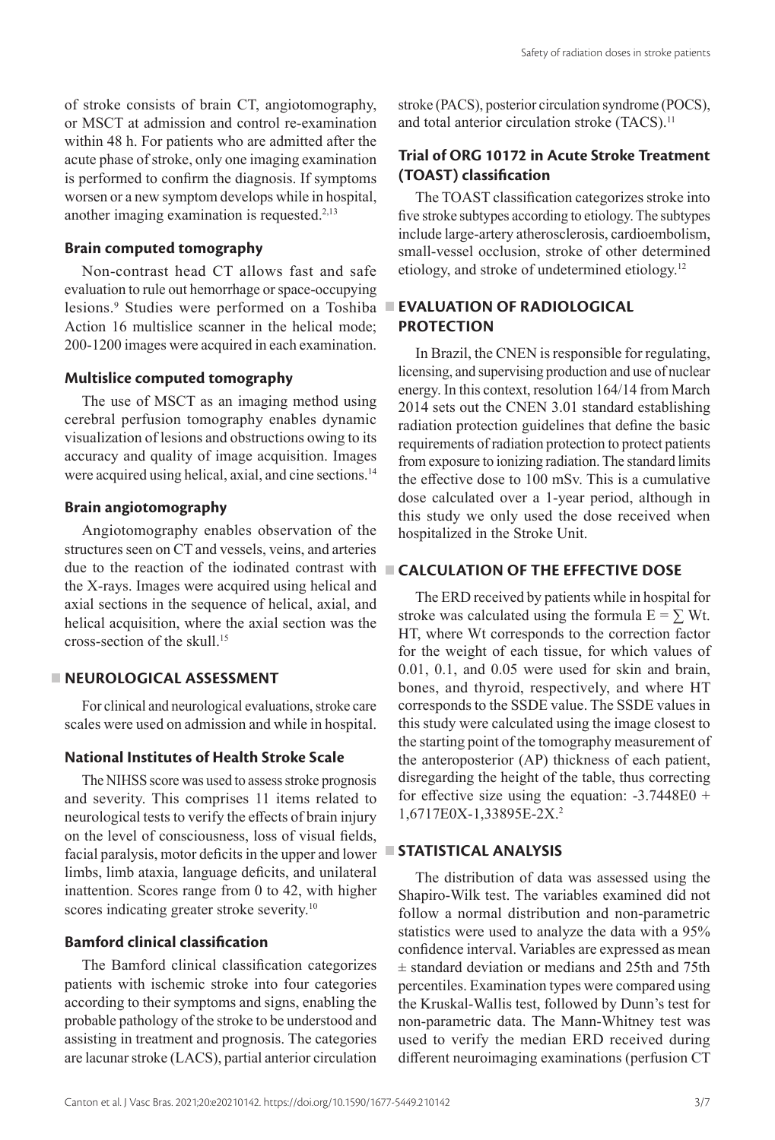of stroke consists of brain CT, angiotomography, or MSCT at admission and control re-examination within 48 h. For patients who are admitted after the acute phase of stroke, only one imaging examination is performed to confirm the diagnosis. If symptoms worsen or a new symptom develops while in hospital, another imaging examination is requested.<sup>2,13</sup>

### **Brain computed tomography**

Non-contrast head CT allows fast and safe evaluation to rule out hemorrhage or space-occupying lesions.9 Studies were performed on a Toshiba Action 16 multislice scanner in the helical mode; 200-1200 images were acquired in each examination.

### **Multislice computed tomography**

The use of MSCT as an imaging method using cerebral perfusion tomography enables dynamic visualization of lesions and obstructions owing to its accuracy and quality of image acquisition. Images were acquired using helical, axial, and cine sections.<sup>14</sup>

### **Brain angiotomography**

Angiotomography enables observation of the structures seen on CT and vessels, veins, and arteries due to the reaction of the iodinated contrast with the X-rays. Images were acquired using helical and axial sections in the sequence of helical, axial, and helical acquisition, where the axial section was the cross-section of the skull.15

### **NEUROLOGICAL ASSESSMENT**

For clinical and neurological evaluations, stroke care scales were used on admission and while in hospital.

### **National Institutes of Health Stroke Scale**

The NIHSS score was used to assess stroke prognosis and severity. This comprises 11 items related to neurological tests to verify the effects of brain injury on the level of consciousness, loss of visual fields, facial paralysis, motor deficits in the upper and lower limbs, limb ataxia, language deficits, and unilateral inattention. Scores range from 0 to 42, with higher scores indicating greater stroke severity.<sup>10</sup>

### **Bamford clinical classification**

The Bamford clinical classification categorizes patients with ischemic stroke into four categories according to their symptoms and signs, enabling the probable pathology of the stroke to be understood and assisting in treatment and prognosis. The categories are lacunar stroke (LACS), partial anterior circulation

stroke (PACS), posterior circulation syndrome (POCS), and total anterior circulation stroke (TACS).<sup>11</sup>

## **Trial of ORG 10172 in Acute Stroke Treatment (TOAST) classification**

The TOAST classification categorizes stroke into five stroke subtypes according to etiology. The subtypes include large-artery atherosclerosis, cardioembolism, small-vessel occlusion, stroke of other determined etiology, and stroke of undetermined etiology.12

## **EVALUATION OF RADIOLOGICAL PROTECTION**

In Brazil, the CNEN is responsible for regulating, licensing, and supervising production and use of nuclear energy. In this context, resolution 164/14 from March 2014 sets out the CNEN 3.01 standard establishing radiation protection guidelines that define the basic requirements of radiation protection to protect patients from exposure to ionizing radiation. The standard limits the effective dose to 100 mSv. This is a cumulative dose calculated over a 1-year period, although in this study we only used the dose received when hospitalized in the Stroke Unit.

### **CALCULATION OF THE EFFECTIVE DOSE**

The ERD received by patients while in hospital for stroke was calculated using the formula  $E = \sum Wt$ . HT, where Wt corresponds to the correction factor for the weight of each tissue, for which values of 0.01, 0.1, and 0.05 were used for skin and brain, bones, and thyroid, respectively, and where HT corresponds to the SSDE value. The SSDE values in this study were calculated using the image closest to the starting point of the tomography measurement of the anteroposterior (AP) thickness of each patient, disregarding the height of the table, thus correcting for effective size using the equation:  $-3.7448E0 +$ 1,6717E0X-1,33895E-2X.2

#### **STATISTICAL ANALYSIS**

The distribution of data was assessed using the Shapiro-Wilk test. The variables examined did not follow a normal distribution and non-parametric statistics were used to analyze the data with a 95% confidence interval. Variables are expressed as mean  $\pm$  standard deviation or medians and 25th and 75th percentiles. Examination types were compared using the Kruskal-Wallis test, followed by Dunn's test for non-parametric data. The Mann-Whitney test was used to verify the median ERD received during different neuroimaging examinations (perfusion CT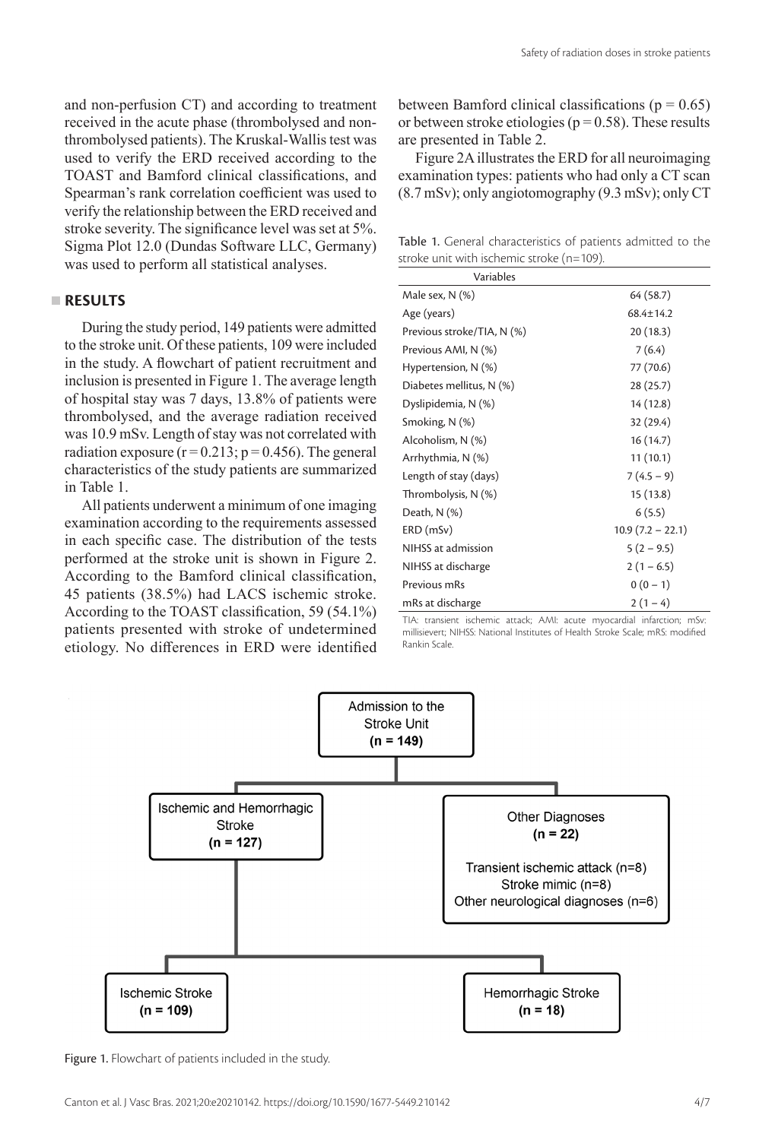and non-perfusion CT) and according to treatment received in the acute phase (thrombolysed and nonthrombolysed patients). The Kruskal-Wallis test was used to verify the ERD received according to the TOAST and Bamford clinical classifications, and Spearman's rank correlation coefficient was used to verify the relationship between the ERD received and stroke severity. The significance level was set at 5%. Sigma Plot 12.0 (Dundas Software LLC, Germany) was used to perform all statistical analyses.

### **RESULTS**

During the study period, 149 patients were admitted to the stroke unit. Of these patients, 109 were included in the study. A flowchart of patient recruitment and inclusion is presented in Figure 1. The average length of hospital stay was 7 days, 13.8% of patients were thrombolysed, and the average radiation received was 10.9 mSv. Length of stay was not correlated with radiation exposure ( $r = 0.213$ ;  $p = 0.456$ ). The general characteristics of the study patients are summarized in Table 1.

All patients underwent a minimum of one imaging examination according to the requirements assessed in each specific case. The distribution of the tests performed at the stroke unit is shown in Figure 2. According to the Bamford clinical classification, 45 patients (38.5%) had LACS ischemic stroke. According to the TOAST classification, 59 (54.1%) patients presented with stroke of undetermined etiology. No differences in ERD were identified between Bamford clinical classifications ( $p = 0.65$ ) or between stroke etiologies ( $p = 0.58$ ). These results are presented in Table 2.

Figure 2A illustrates the ERD for all neuroimaging examination types: patients who had only a CT scan (8.7 mSv); only angiotomography (9.3 mSv); only CT

Table 1. General characteristics of patients admitted to the stroke unit with ischemic stroke (n=109).

| Variables                  |                    |
|----------------------------|--------------------|
| Male sex, N (%)            | 64 (58.7)          |
| Age (years)                | $68.4 \pm 14.2$    |
| Previous stroke/TIA, N (%) | 20(18.3)           |
| Previous AMI, N (%)        | 7(6.4)             |
| Hypertension, N (%)        | 77 (70.6)          |
| Diabetes mellitus, N (%)   | 28 (25.7)          |
| Dyslipidemia, N (%)        | 14 (12.8)          |
| Smoking, N (%)             | 32 (29.4)          |
| Alcoholism, N (%)          | 16(14.7)           |
| Arrhythmia, N (%)          | 11(10.1)           |
| Length of stay (days)      | $7(4.5-9)$         |
| Thrombolysis, N (%)        | 15 (13.8)          |
| Death, N (%)               | 6(5.5)             |
| ERD (mSv)                  | $10.9(7.2 - 22.1)$ |
| NIHSS at admission         | $5(2 - 9.5)$       |
| NIHSS at discharge         | $2(1-6.5)$         |
| Previous mRs               | $0(0-1)$           |
| mRs at discharge           | $2(1-4)$           |

TIA: transient ischemic attack; AMI: acute myocardial infarction; mSv: millisievert; NIHSS: National Institutes of Health Stroke Scale; mRS: modified Rankin Scale.



Figure 1. Flowchart of patients included in the study.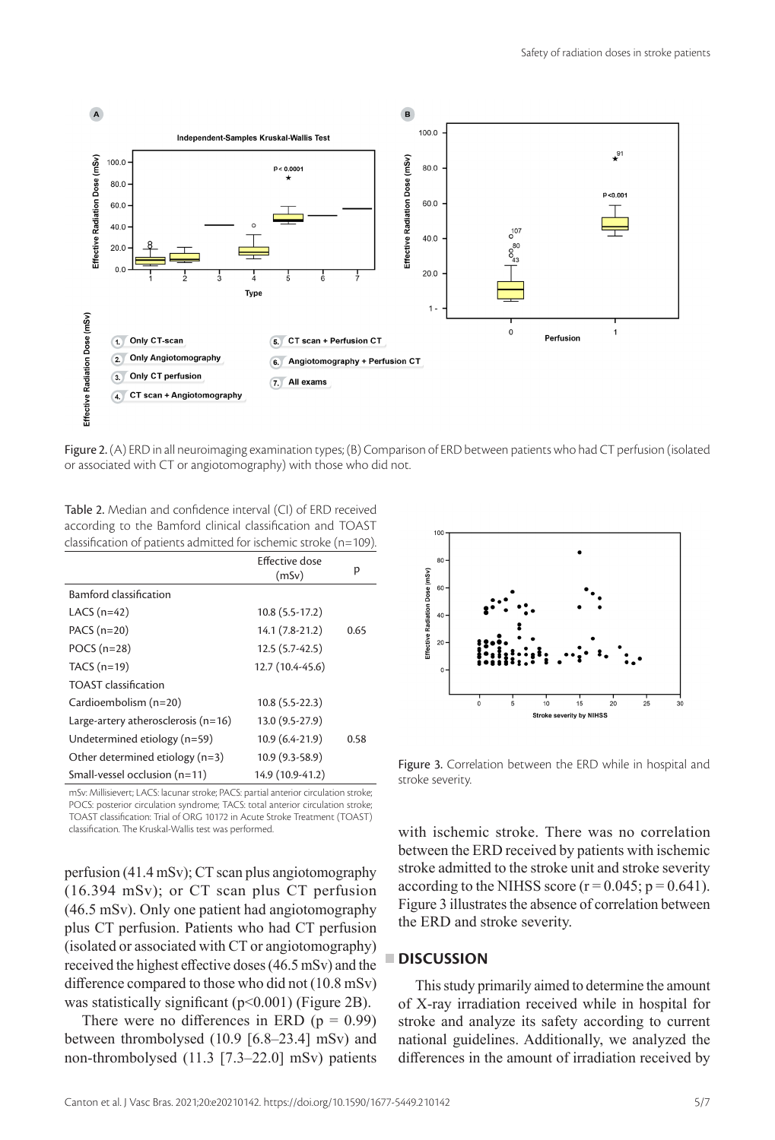

Figure 2. (A) ERD in all neuroimaging examination types; (B) Comparison of ERD between patients who had CT perfusion (isolated or associated with CT or angiotomography) with those who did not.

Table 2. Median and confidence interval (CI) of ERD received according to the Bamford clinical classification and TOAST classification of patients admitted for ischemic stroke (n=109).

|                                       | Effective dose<br>(mSv) | р    |
|---------------------------------------|-------------------------|------|
| Bamford classification                |                         |      |
| LACS $(n=42)$                         | 10.8 (5.5-17.2)         |      |
| PACS $(n=20)$                         | 14.1 (7.8-21.2)         | 0.65 |
| POCS $(n=28)$                         | $12.5(5.7-42.5)$        |      |
| TACS $(n=19)$                         | 12.7 (10.4-45.6)        |      |
| <b>TOAST</b> classification           |                         |      |
| Cardioembolism (n=20)                 | $10.8(5.5-22.3)$        |      |
| Large-artery atherosclerosis $(n=16)$ | 13.0 (9.5-27.9)         |      |
| Undetermined etiology (n=59)          | 10.9 (6.4-21.9)         | 0.58 |
| Other determined etiology $(n=3)$     | 10.9 (9.3-58.9)         |      |
| Small-vessel occlusion (n=11)         | 14.9 (10.9-41.2)        |      |
|                                       |                         |      |

mSv: Millisievert; LACS: lacunar stroke; PACS: partial anterior circulation stroke; POCS: posterior circulation syndrome; TACS: total anterior circulation stroke; TOAST classification: Trial of ORG 10172 in Acute Stroke Treatment (TOAST) classification. The Kruskal-Wallis test was performed.

perfusion (41.4 mSv); CT scan plus angiotomography (16.394 mSv); or CT scan plus CT perfusion (46.5 mSv). Only one patient had angiotomography plus CT perfusion. Patients who had CT perfusion (isolated or associated with CT or angiotomography) received the highest effective doses (46.5 mSv) and the difference compared to those who did not (10.8 mSv) was statistically significant  $(p<0.001)$  (Figure 2B).

There were no differences in ERD ( $p = 0.99$ ) between thrombolysed (10.9 [6.8–23.4] mSv) and non-thrombolysed (11.3 [7.3–22.0] mSv) patients



Figure 3. Correlation between the ERD while in hospital and stroke severity.

with ischemic stroke. There was no correlation between the ERD received by patients with ischemic stroke admitted to the stroke unit and stroke severity according to the NIHSS score  $(r = 0.045; p = 0.641)$ . Figure 3 illustrates the absence of correlation between the ERD and stroke severity.

### **DISCUSSION**

This study primarily aimed to determine the amount of X-ray irradiation received while in hospital for stroke and analyze its safety according to current national guidelines. Additionally, we analyzed the differences in the amount of irradiation received by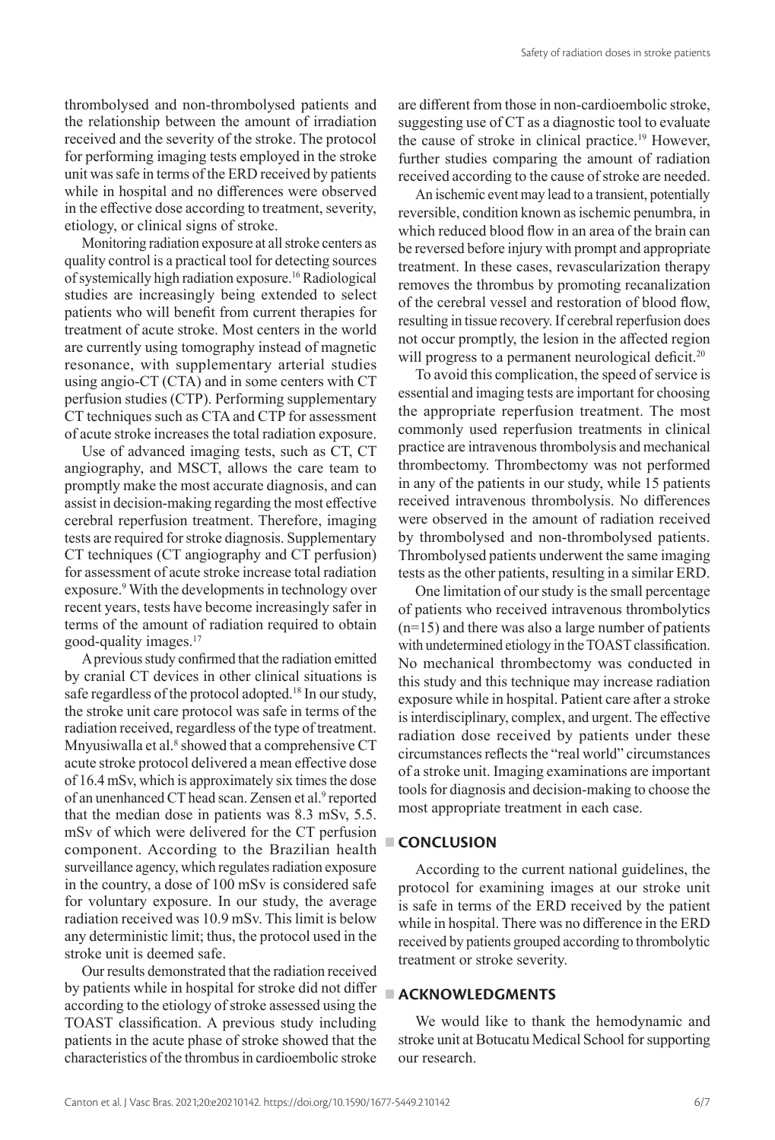thrombolysed and non-thrombolysed patients and the relationship between the amount of irradiation received and the severity of the stroke. The protocol for performing imaging tests employed in the stroke unit was safe in terms of the ERD received by patients while in hospital and no differences were observed in the effective dose according to treatment, severity, etiology, or clinical signs of stroke.

Monitoring radiation exposure at all stroke centers as quality control is a practical tool for detecting sources of systemically high radiation exposure.16 Radiological studies are increasingly being extended to select patients who will benefit from current therapies for treatment of acute stroke. Most centers in the world are currently using tomography instead of magnetic resonance, with supplementary arterial studies using angio-CT (CTA) and in some centers with CT perfusion studies (CTP). Performing supplementary CT techniques such as CTA and CTP for assessment of acute stroke increases the total radiation exposure.

Use of advanced imaging tests, such as CT, CT angiography, and MSCT, allows the care team to promptly make the most accurate diagnosis, and can assist in decision-making regarding the most effective cerebral reperfusion treatment. Therefore, imaging tests are required for stroke diagnosis. Supplementary CT techniques (CT angiography and CT perfusion) for assessment of acute stroke increase total radiation exposure.9 With the developments in technology over recent years, tests have become increasingly safer in terms of the amount of radiation required to obtain good-quality images.17

A previous study confirmed that the radiation emitted by cranial CT devices in other clinical situations is safe regardless of the protocol adopted.<sup>18</sup> In our study, the stroke unit care protocol was safe in terms of the radiation received, regardless of the type of treatment. Mnyusiwalla et al.<sup>8</sup> showed that a comprehensive CT acute stroke protocol delivered a mean effective dose of 16.4 mSv, which is approximately six times the dose of an unenhanced CT head scan. Zensen et al.<sup>9</sup> reported that the median dose in patients was 8.3 mSv, 5.5. mSv of which were delivered for the CT perfusion component. According to the Brazilian health surveillance agency, which regulates radiation exposure in the country, a dose of 100 mSv is considered safe for voluntary exposure. In our study, the average radiation received was 10.9 mSv. This limit is below any deterministic limit; thus, the protocol used in the stroke unit is deemed safe.

Our results demonstrated that the radiation received by patients while in hospital for stroke did not differ according to the etiology of stroke assessed using the TOAST classification. A previous study including patients in the acute phase of stroke showed that the characteristics of the thrombus in cardioembolic stroke

are different from those in non-cardioembolic stroke, suggesting use of CT as a diagnostic tool to evaluate the cause of stroke in clinical practice.<sup>19</sup> However, further studies comparing the amount of radiation received according to the cause of stroke are needed.

An ischemic event may lead to a transient, potentially reversible, condition known as ischemic penumbra, in which reduced blood flow in an area of the brain can be reversed before injury with prompt and appropriate treatment. In these cases, revascularization therapy removes the thrombus by promoting recanalization of the cerebral vessel and restoration of blood flow, resulting in tissue recovery. If cerebral reperfusion does not occur promptly, the lesion in the affected region will progress to a permanent neurological deficit.<sup>20</sup>

To avoid this complication, the speed of service is essential and imaging tests are important for choosing the appropriate reperfusion treatment. The most commonly used reperfusion treatments in clinical practice are intravenous thrombolysis and mechanical thrombectomy. Thrombectomy was not performed in any of the patients in our study, while 15 patients received intravenous thrombolysis. No differences were observed in the amount of radiation received by thrombolysed and non-thrombolysed patients. Thrombolysed patients underwent the same imaging tests as the other patients, resulting in a similar ERD.

One limitation of our study is the small percentage of patients who received intravenous thrombolytics  $(n=15)$  and there was also a large number of patients with undetermined etiology in the TOAST classification. No mechanical thrombectomy was conducted in this study and this technique may increase radiation exposure while in hospital. Patient care after a stroke is interdisciplinary, complex, and urgent. The effective radiation dose received by patients under these circumstances reflects the "real world" circumstances of a stroke unit. Imaging examinations are important tools for diagnosis and decision-making to choose the most appropriate treatment in each case.

### **CONCLUSION**

According to the current national guidelines, the protocol for examining images at our stroke unit is safe in terms of the ERD received by the patient while in hospital. There was no difference in the ERD received by patients grouped according to thrombolytic treatment or stroke severity.

## **ACKNOWLEDGMENTS**

We would like to thank the hemodynamic and stroke unit at Botucatu Medical School for supporting our research.